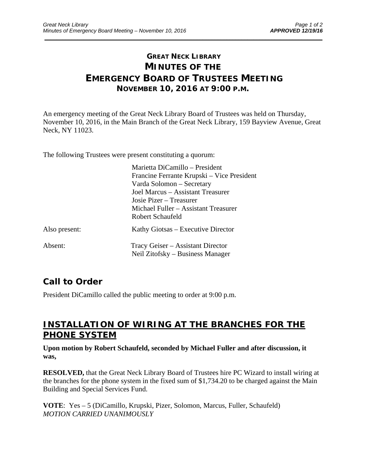## **GREAT NECK LIBRARY MINUTES OF THE EMERGENCY BOARD OF TRUSTEES MEETING NOVEMBER 10, 2016 AT 9:00 P.M.**

\_\_\_\_\_\_\_\_\_\_\_\_\_\_\_\_\_\_\_\_\_\_\_\_\_\_\_\_\_\_\_\_\_\_\_\_\_\_\_\_\_\_\_\_\_\_\_\_\_\_\_\_\_\_\_\_\_\_\_\_\_\_\_\_\_\_\_\_\_\_\_\_\_\_\_\_\_\_\_\_\_\_\_\_\_\_\_\_\_\_\_\_\_

An emergency meeting of the Great Neck Library Board of Trustees was held on Thursday, November 10, 2016, in the Main Branch of the Great Neck Library, 159 Bayview Avenue, Great Neck, NY 11023.

The following Trustees were present constituting a quorum:

|               | Marietta DiCamillo – President             |
|---------------|--------------------------------------------|
|               | Francine Ferrante Krupski – Vice President |
|               | Varda Solomon – Secretary                  |
|               | Joel Marcus – Assistant Treasurer          |
|               | Josie Pizer – Treasurer                    |
|               | Michael Fuller – Assistant Treasurer       |
|               | Robert Schaufeld                           |
| Also present: | Kathy Giotsas – Executive Director         |
| Absent:       | Tracy Geiser – Assistant Director          |
|               | Neil Zitofsky – Business Manager           |

### **Call to Order**

President DiCamillo called the public meeting to order at 9:00 p.m.

### **INSTALLATION OF WIRING AT THE BRANCHES FOR THE PHONE SYSTEM**

#### **Upon motion by Robert Schaufeld, seconded by Michael Fuller and after discussion, it was,**

**RESOLVED,** that the Great Neck Library Board of Trustees hire PC Wizard to install wiring at the branches for the phone system in the fixed sum of \$1,734.20 to be charged against the Main Building and Special Services Fund.

**VOTE**: Yes – 5 (DiCamillo, Krupski, Pizer, Solomon, Marcus, Fuller, Schaufeld) *MOTION CARRIED UNANIMOUSLY*